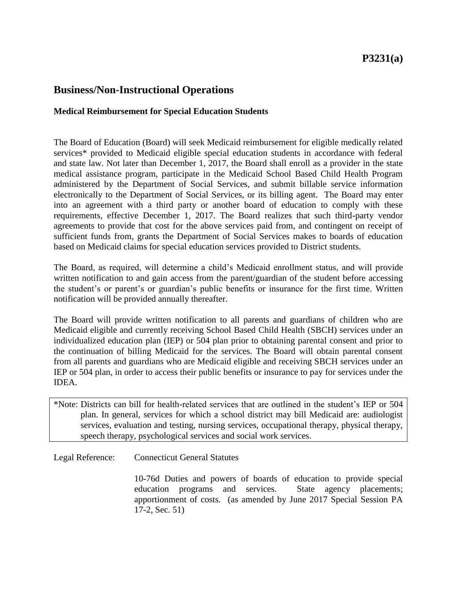# **P3231(a)**

## **Business/Non-Instructional Operations**

#### **Medical Reimbursement for Special Education Students**

The Board of Education (Board) will seek Medicaid reimbursement for eligible medically related services\* provided to Medicaid eligible special education students in accordance with federal and state law. Not later than December 1, 2017, the Board shall enroll as a provider in the state medical assistance program, participate in the Medicaid School Based Child Health Program administered by the Department of Social Services, and submit billable service information electronically to the Department of Social Services, or its billing agent. The Board may enter into an agreement with a third party or another board of education to comply with these requirements, effective December 1, 2017. The Board realizes that such third-party vendor agreements to provide that cost for the above services paid from, and contingent on receipt of sufficient funds from, grants the Department of Social Services makes to boards of education based on Medicaid claims for special education services provided to District students.

The Board, as required, will determine a child's Medicaid enrollment status, and will provide written notification to and gain access from the parent/guardian of the student before accessing the student's or parent's or guardian's public benefits or insurance for the first time. Written notification will be provided annually thereafter.

The Board will provide written notification to all parents and guardians of children who are Medicaid eligible and currently receiving School Based Child Health (SBCH) services under an individualized education plan (IEP) or 504 plan prior to obtaining parental consent and prior to the continuation of billing Medicaid for the services. The Board will obtain parental consent from all parents and guardians who are Medicaid eligible and receiving SBCH services under an IEP or 504 plan, in order to access their public benefits or insurance to pay for services under the IDEA.

\*Note: Districts can bill for health-related services that are outlined in the student's IEP or 504 plan. In general, services for which a school district may bill Medicaid are: audiologist services, evaluation and testing, nursing services, occupational therapy, physical therapy, speech therapy, psychological services and social work services.

Legal Reference: Connecticut General Statutes

10-76d Duties and powers of boards of education to provide special education programs and services. State agency placements; apportionment of costs. (as amended by June 2017 Special Session PA 17-2, Sec. 51)